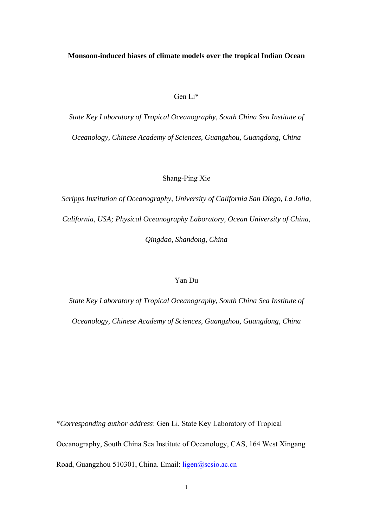# Gen Li\*

*State Key Laboratory of Tropical Oceanography, South China Sea Institute of Oceanology, Chinese Academy of Sciences, Guangzhou, Guangdong, China* 

## Shang-Ping Xie

*Scripps Institution of Oceanography, University of California San Diego, La Jolla, California, USA; Physical Oceanography Laboratory, Ocean University of China, Qingdao, Shandong, China* 

# Yan Du

*State Key Laboratory of Tropical Oceanography, South China Sea Institute of Oceanology, Chinese Academy of Sciences, Guangzhou, Guangdong, China* 

\**Corresponding author address*: Gen Li, State Key Laboratory of Tropical Oceanography, South China Sea Institute of Oceanology, CAS, 164 West Xingang Road, Guangzhou 510301, China. Email: ligen@scsio.ac.cn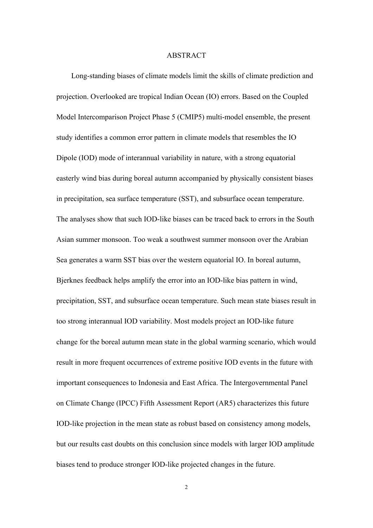#### ABSTRACT

Long-standing biases of climate models limit the skills of climate prediction and projection. Overlooked are tropical Indian Ocean (IO) errors. Based on the Coupled Model Intercomparison Project Phase 5 (CMIP5) multi-model ensemble, the present study identifies a common error pattern in climate models that resembles the IO Dipole (IOD) mode of interannual variability in nature, with a strong equatorial easterly wind bias during boreal autumn accompanied by physically consistent biases in precipitation, sea surface temperature (SST), and subsurface ocean temperature. The analyses show that such IOD-like biases can be traced back to errors in the South Asian summer monsoon. Too weak a southwest summer monsoon over the Arabian Sea generates a warm SST bias over the western equatorial IO. In boreal autumn, Bjerknes feedback helps amplify the error into an IOD-like bias pattern in wind, precipitation, SST, and subsurface ocean temperature. Such mean state biases result in too strong interannual IOD variability. Most models project an IOD-like future change for the boreal autumn mean state in the global warming scenario, which would result in more frequent occurrences of extreme positive IOD events in the future with important consequences to Indonesia and East Africa. The Intergovernmental Panel on Climate Change (IPCC) Fifth Assessment Report (AR5) characterizes this future IOD-like projection in the mean state as robust based on consistency among models, but our results cast doubts on this conclusion since models with larger IOD amplitude biases tend to produce stronger IOD-like projected changes in the future.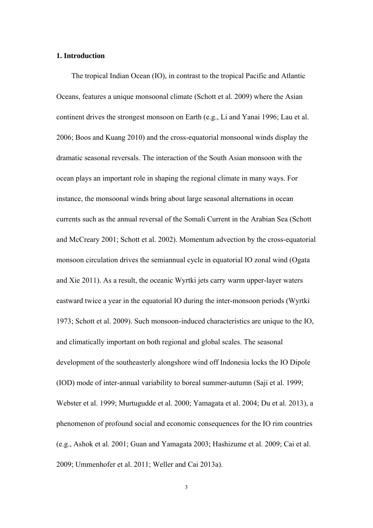## **1. Introduction**

The tropical Indian Ocean (IO), in contrast to the tropical Pacific and Atlantic Oceans, features a unique monsoonal climate (Schott et al. 2009) where the Asian continent drives the strongest monsoon on Earth (e.g., Li and Yanai 1996; Lau et al. 2006; Boos and Kuang 2010) and the cross-equatorial monsoonal winds display the dramatic seasonal reversals. The interaction of the South Asian monsoon with the ocean plays an important role in shaping the regional climate in many ways. For instance, the monsoonal winds bring about large seasonal alternations in ocean currents such as the annual reversal of the Somali Current in the Arabian Sea (Schott and McCreary 2001; Schott et al. 2002). Momentum advection by the cross-equatorial monsoon circulation drives the semiannual cycle in equatorial IO zonal wind (Ogata and Xie 2011). As a result, the oceanic Wyrtki jets carry warm upper-layer waters eastward twice a year in the equatorial IO during the inter-monsoon periods (Wyrtki 1973; Schott et al. 2009). Such monsoon-induced characteristics are unique to the IO, and climatically important on both regional and global scales. The seasonal development of the southeasterly alongshore wind off Indonesia locks the IO Dipole (IOD) mode of inter-annual variability to boreal summer-autumn (Saji et al. 1999; Webster et al. 1999; Murtugudde et al. 2000; Yamagata et al. 2004; Du et al. 2013), a phenomenon of profound social and economic consequences for the IO rim countries (e.g., Ashok et al. 2001; Guan and Yamagata 2003; Hashizume et al. 2009; Cai et al. 2009; Ummenhofer et al. 2011; Weller and Cai 2013a).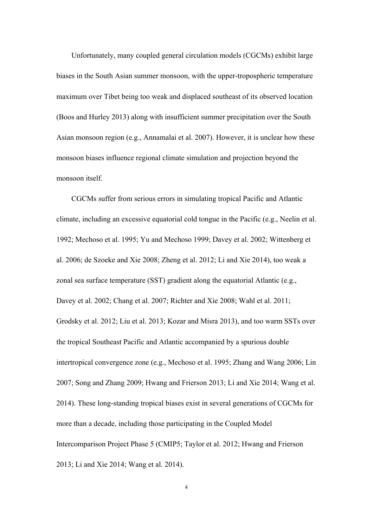Unfortunately, many coupled general circulation models (CGCMs) exhibit large biases in the South Asian summer monsoon, with the upper-tropospheric temperature maximum over Tibet being too weak and displaced southeast of its observed location (Boos and Hurley 2013) along with insufficient summer precipitation over the South Asian monsoon region (e.g., Annamalai et al. 2007). However, it is unclear how these monsoon biases influence regional climate simulation and projection beyond the monsoon itself.

CGCMs suffer from serious errors in simulating tropical Pacific and Atlantic climate, including an excessive equatorial cold tongue in the Pacific (e.g., Neelin et al. 1992; Mechoso et al. 1995; Yu and Mechoso 1999; Davey et al. 2002; Wittenberg et al. 2006; de Szoeke and Xie 2008; Zheng et al. 2012; Li and Xie 2014), too weak a zonal sea surface temperature (SST) gradient along the equatorial Atlantic (e.g., Davey et al. 2002; Chang et al. 2007; Richter and Xie 2008; Wahl et al. 2011; Grodsky et al. 2012; Liu et al. 2013; Kozar and Misra 2013), and too warm SSTs over the tropical Southeast Pacific and Atlantic accompanied by a spurious double intertropical convergence zone (e.g., Mechoso et al. 1995; Zhang and Wang 2006; Lin 2007; Song and Zhang 2009; Hwang and Frierson 2013; Li and Xie 2014; Wang et al. 2014). These long-standing tropical biases exist in several generations of CGCMs for more than a decade, including those participating in the Coupled Model Intercomparison Project Phase 5 (CMIP5; Taylor et al. 2012; Hwang and Frierson 2013; Li and Xie 2014; Wang et al. 2014).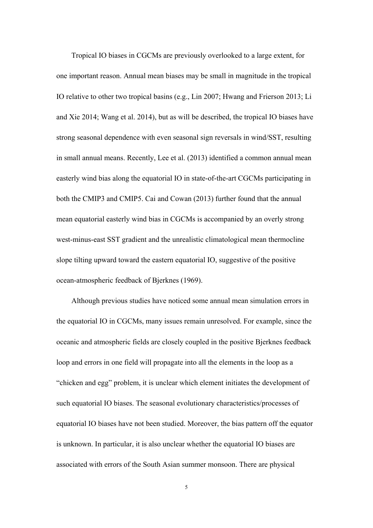Tropical IO biases in CGCMs are previously overlooked to a large extent, for one important reason. Annual mean biases may be small in magnitude in the tropical IO relative to other two tropical basins (e.g., Lin 2007; Hwang and Frierson 2013; Li and Xie 2014; Wang et al. 2014), but as will be described, the tropical IO biases have strong seasonal dependence with even seasonal sign reversals in wind/SST, resulting in small annual means. Recently, Lee et al. (2013) identified a common annual mean easterly wind bias along the equatorial IO in state-of-the-art CGCMs participating in both the CMIP3 and CMIP5. Cai and Cowan (2013) further found that the annual mean equatorial easterly wind bias in CGCMs is accompanied by an overly strong west-minus-east SST gradient and the unrealistic climatological mean thermocline slope tilting upward toward the eastern equatorial IO, suggestive of the positive ocean-atmospheric feedback of Bjerknes (1969).

Although previous studies have noticed some annual mean simulation errors in the equatorial IO in CGCMs, many issues remain unresolved. For example, since the oceanic and atmospheric fields are closely coupled in the positive Bjerknes feedback loop and errors in one field will propagate into all the elements in the loop as a "chicken and egg" problem, it is unclear which element initiates the development of such equatorial IO biases. The seasonal evolutionary characteristics/processes of equatorial IO biases have not been studied. Moreover, the bias pattern off the equator is unknown. In particular, it is also unclear whether the equatorial IO biases are associated with errors of the South Asian summer monsoon. There are physical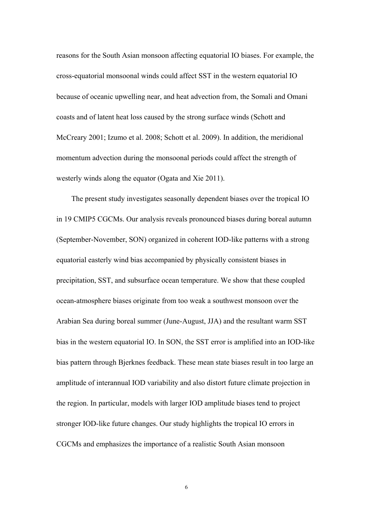reasons for the South Asian monsoon affecting equatorial IO biases. For example, the cross-equatorial monsoonal winds could affect SST in the western equatorial IO because of oceanic upwelling near, and heat advection from, the Somali and Omani coasts and of latent heat loss caused by the strong surface winds (Schott and McCreary 2001; Izumo et al. 2008; Schott et al. 2009). In addition, the meridional momentum advection during the monsoonal periods could affect the strength of westerly winds along the equator (Ogata and Xie 2011).

The present study investigates seasonally dependent biases over the tropical IO in 19 CMIP5 CGCMs. Our analysis reveals pronounced biases during boreal autumn (September-November, SON) organized in coherent IOD-like patterns with a strong equatorial easterly wind bias accompanied by physically consistent biases in precipitation, SST, and subsurface ocean temperature. We show that these coupled ocean-atmosphere biases originate from too weak a southwest monsoon over the Arabian Sea during boreal summer (June-August, JJA) and the resultant warm SST bias in the western equatorial IO. In SON, the SST error is amplified into an IOD-like bias pattern through Bjerknes feedback. These mean state biases result in too large an amplitude of interannual IOD variability and also distort future climate projection in the region. In particular, models with larger IOD amplitude biases tend to project stronger IOD-like future changes. Our study highlights the tropical IO errors in CGCMs and emphasizes the importance of a realistic South Asian monsoon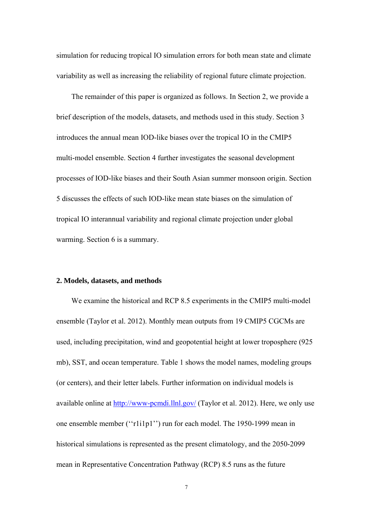simulation for reducing tropical IO simulation errors for both mean state and climate variability as well as increasing the reliability of regional future climate projection.

The remainder of this paper is organized as follows. In Section 2, we provide a brief description of the models, datasets, and methods used in this study. Section 3 introduces the annual mean IOD-like biases over the tropical IO in the CMIP5 multi-model ensemble. Section 4 further investigates the seasonal development processes of IOD-like biases and their South Asian summer monsoon origin. Section 5 discusses the effects of such IOD-like mean state biases on the simulation of tropical IO interannual variability and regional climate projection under global warming. Section 6 is a summary.

### **2. Models, datasets, and methods**

We examine the historical and RCP 8.5 experiments in the CMIP5 multi-model ensemble (Taylor et al. 2012). Monthly mean outputs from 19 CMIP5 CGCMs are used, including precipitation, wind and geopotential height at lower troposphere (925 mb), SST, and ocean temperature. Table 1 shows the model names, modeling groups (or centers), and their letter labels. Further information on individual models is available online at http://www-pcmdi.llnl.gov/ (Taylor et al. 2012). Here, we only use one ensemble member (''r1i1p1'') run for each model. The 1950-1999 mean in historical simulations is represented as the present climatology, and the 2050-2099 mean in Representative Concentration Pathway (RCP) 8.5 runs as the future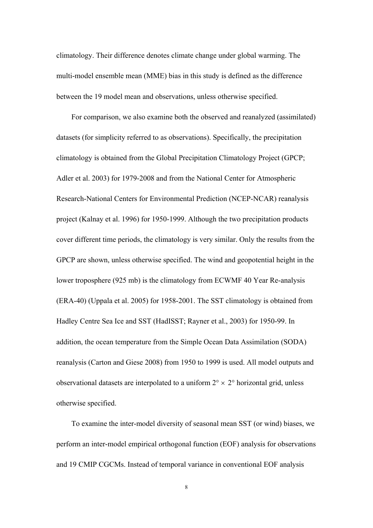climatology. Their difference denotes climate change under global warming. The multi-model ensemble mean (MME) bias in this study is defined as the difference between the 19 model mean and observations, unless otherwise specified.

For comparison, we also examine both the observed and reanalyzed (assimilated) datasets (for simplicity referred to as observations). Specifically, the precipitation climatology is obtained from the Global Precipitation Climatology Project (GPCP; Adler et al. 2003) for 1979-2008 and from the National Center for Atmospheric Research-National Centers for Environmental Prediction (NCEP-NCAR) reanalysis project (Kalnay et al. 1996) for 1950-1999. Although the two precipitation products cover different time periods, the climatology is very similar. Only the results from the GPCP are shown, unless otherwise specified. The wind and geopotential height in the lower troposphere (925 mb) is the climatology from ECWMF 40 Year Re-analysis (ERA-40) (Uppala et al. 2005) for 1958-2001. The SST climatology is obtained from Hadley Centre Sea Ice and SST (HadISST; Rayner et al., 2003) for 1950-99. In addition, the ocean temperature from the Simple Ocean Data Assimilation (SODA) reanalysis (Carton and Giese 2008) from 1950 to 1999 is used. All model outputs and observational datasets are interpolated to a uniform  $2^{\circ} \times 2^{\circ}$  horizontal grid, unless otherwise specified.

To examine the inter-model diversity of seasonal mean SST (or wind) biases, we perform an inter-model empirical orthogonal function (EOF) analysis for observations and 19 CMIP CGCMs. Instead of temporal variance in conventional EOF analysis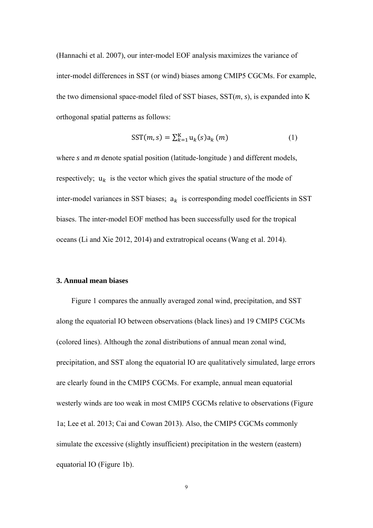(Hannachi et al. 2007), our inter-model EOF analysis maximizes the variance of inter-model differences in SST (or wind) biases among CMIP5 CGCMs. For example, the two dimensional space-model filed of SST biases, SST(*m*, *s*), is expanded into K orthogonal spatial patterns as follows:

$$
SST(m, s) = \sum_{k=1}^{K} u_k(s) a_k(m)
$$
 (1)

where *s* and *m* denote spatial position (latitude-longitude) and different models, respectively;  $u_k$  is the vector which gives the spatial structure of the mode of inter-model variances in SST biases;  $a_k$  is corresponding model coefficients in SST biases. The inter-model EOF method has been successfully used for the tropical oceans (Li and Xie 2012, 2014) and extratropical oceans (Wang et al. 2014).

# **3. Annual mean biases**

Figure 1 compares the annually averaged zonal wind, precipitation, and SST along the equatorial IO between observations (black lines) and 19 CMIP5 CGCMs (colored lines). Although the zonal distributions of annual mean zonal wind, precipitation, and SST along the equatorial IO are qualitatively simulated, large errors are clearly found in the CMIP5 CGCMs. For example, annual mean equatorial westerly winds are too weak in most CMIP5 CGCMs relative to observations (Figure 1a; Lee et al. 2013; Cai and Cowan 2013). Also, the CMIP5 CGCMs commonly simulate the excessive (slightly insufficient) precipitation in the western (eastern) equatorial IO (Figure 1b).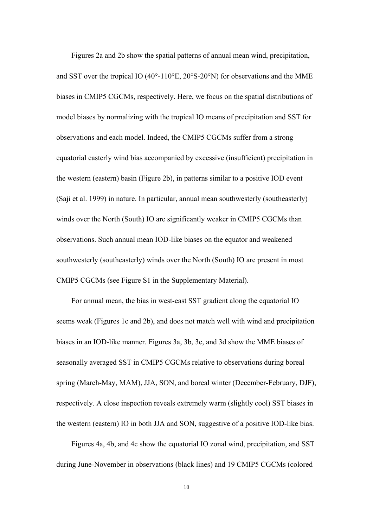Figures 2a and 2b show the spatial patterns of annual mean wind, precipitation, and SST over the tropical IO (40 $^{\circ}$ -110 $^{\circ}$ E, 20 $^{\circ}$ S-20 $^{\circ}$ N) for observations and the MME biases in CMIP5 CGCMs, respectively. Here, we focus on the spatial distributions of model biases by normalizing with the tropical IO means of precipitation and SST for observations and each model. Indeed, the CMIP5 CGCMs suffer from a strong equatorial easterly wind bias accompanied by excessive (insufficient) precipitation in the western (eastern) basin (Figure 2b), in patterns similar to a positive IOD event (Saji et al. 1999) in nature. In particular, annual mean southwesterly (southeasterly) winds over the North (South) IO are significantly weaker in CMIP5 CGCMs than observations. Such annual mean IOD-like biases on the equator and weakened southwesterly (southeasterly) winds over the North (South) IO are present in most CMIP5 CGCMs (see Figure S1 in the Supplementary Material).

For annual mean, the bias in west-east SST gradient along the equatorial IO seems weak (Figures 1c and 2b), and does not match well with wind and precipitation biases in an IOD-like manner. Figures 3a, 3b, 3c, and 3d show the MME biases of seasonally averaged SST in CMIP5 CGCMs relative to observations during boreal spring (March-May, MAM), JJA, SON, and boreal winter (December-February, DJF), respectively. A close inspection reveals extremely warm (slightly cool) SST biases in the western (eastern) IO in both JJA and SON, suggestive of a positive IOD-like bias.

Figures 4a, 4b, and 4c show the equatorial IO zonal wind, precipitation, and SST during June-November in observations (black lines) and 19 CMIP5 CGCMs (colored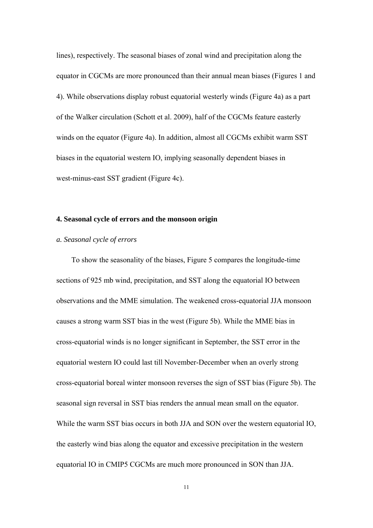lines), respectively. The seasonal biases of zonal wind and precipitation along the equator in CGCMs are more pronounced than their annual mean biases (Figures 1 and 4). While observations display robust equatorial westerly winds (Figure 4a) as a part of the Walker circulation (Schott et al. 2009), half of the CGCMs feature easterly winds on the equator (Figure 4a). In addition, almost all CGCMs exhibit warm SST biases in the equatorial western IO, implying seasonally dependent biases in west-minus-east SST gradient (Figure 4c).

# **4. Seasonal cycle of errors and the monsoon origin**

## *a. Seasonal cycle of errors*

To show the seasonality of the biases, Figure 5 compares the longitude-time sections of 925 mb wind, precipitation, and SST along the equatorial IO between observations and the MME simulation. The weakened cross-equatorial JJA monsoon causes a strong warm SST bias in the west (Figure 5b). While the MME bias in cross-equatorial winds is no longer significant in September, the SST error in the equatorial western IO could last till November-December when an overly strong cross-equatorial boreal winter monsoon reverses the sign of SST bias (Figure 5b). The seasonal sign reversal in SST bias renders the annual mean small on the equator. While the warm SST bias occurs in both JJA and SON over the western equatorial IO, the easterly wind bias along the equator and excessive precipitation in the western equatorial IO in CMIP5 CGCMs are much more pronounced in SON than JJA.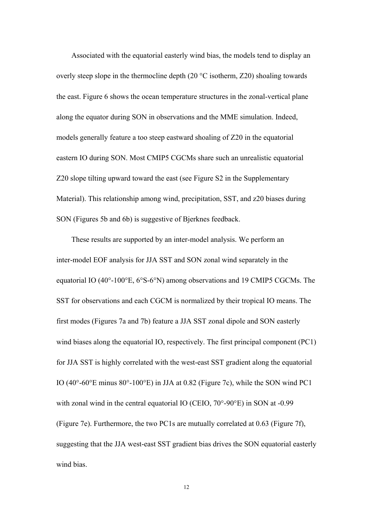Associated with the equatorial easterly wind bias, the models tend to display an overly steep slope in the thermocline depth (20 °C isotherm, Z20) shoaling towards the east. Figure 6 shows the ocean temperature structures in the zonal-vertical plane along the equator during SON in observations and the MME simulation. Indeed, models generally feature a too steep eastward shoaling of Z20 in the equatorial eastern IO during SON. Most CMIP5 CGCMs share such an unrealistic equatorial Z20 slope tilting upward toward the east (see Figure S2 in the Supplementary Material). This relationship among wind, precipitation, SST, and z20 biases during SON (Figures 5b and 6b) is suggestive of Bjerknes feedback.

These results are supported by an inter-model analysis. We perform an inter-model EOF analysis for JJA SST and SON zonal wind separately in the equatorial IO (40°-100°E, 6°S-6°N) among observations and 19 CMIP5 CGCMs. The SST for observations and each CGCM is normalized by their tropical IO means. The first modes (Figures 7a and 7b) feature a JJA SST zonal dipole and SON easterly wind biases along the equatorial IO, respectively. The first principal component (PC1) for JJA SST is highly correlated with the west-east SST gradient along the equatorial IO (40°-60°E minus 80°-100°E) in JJA at 0.82 (Figure 7c), while the SON wind PC1 with zonal wind in the central equatorial IO (CEIO, 70°-90°E) in SON at -0.99 (Figure 7e). Furthermore, the two PC1s are mutually correlated at 0.63 (Figure 7f), suggesting that the JJA west-east SST gradient bias drives the SON equatorial easterly wind bias.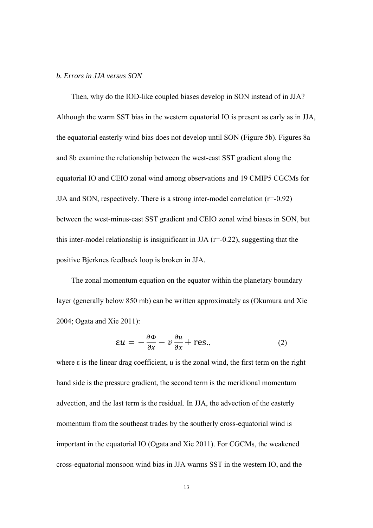### *b. Errors in JJA versus SON*

Then, why do the IOD-like coupled biases develop in SON instead of in JJA? Although the warm SST bias in the western equatorial IO is present as early as in JJA, the equatorial easterly wind bias does not develop until SON (Figure 5b). Figures 8a and 8b examine the relationship between the west-east SST gradient along the equatorial IO and CEIO zonal wind among observations and 19 CMIP5 CGCMs for JJA and SON, respectively. There is a strong inter-model correlation  $(r=-0.92)$ between the west-minus-east SST gradient and CEIO zonal wind biases in SON, but this inter-model relationship is insignificant in JJA  $(r=0.22)$ , suggesting that the positive Bjerknes feedback loop is broken in JJA.

The zonal momentum equation on the equator within the planetary boundary layer (generally below 850 mb) can be written approximately as (Okumura and Xie 2004; Ogata and Xie 2011):

$$
\epsilon u = -\frac{\partial \Phi}{\partial x} - v \frac{\partial u}{\partial x} + \text{res.},\tag{2}
$$

where  $\varepsilon$  is the linear drag coefficient, *u* is the zonal wind, the first term on the right hand side is the pressure gradient, the second term is the meridional momentum advection, and the last term is the residual. In JJA, the advection of the easterly momentum from the southeast trades by the southerly cross-equatorial wind is important in the equatorial IO (Ogata and Xie 2011). For CGCMs, the weakened cross-equatorial monsoon wind bias in JJA warms SST in the western IO, and the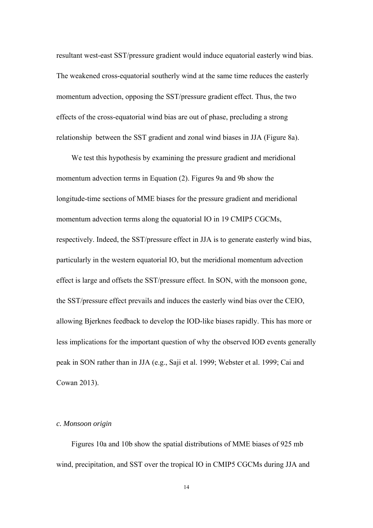resultant west-east SST/pressure gradient would induce equatorial easterly wind bias. The weakened cross-equatorial southerly wind at the same time reduces the easterly momentum advection, opposing the SST/pressure gradient effect. Thus, the two effects of the cross-equatorial wind bias are out of phase, precluding a strong relationship between the SST gradient and zonal wind biases in JJA (Figure 8a).

We test this hypothesis by examining the pressure gradient and meridional momentum advection terms in Equation (2). Figures 9a and 9b show the longitude-time sections of MME biases for the pressure gradient and meridional momentum advection terms along the equatorial IO in 19 CMIP5 CGCMs, respectively. Indeed, the SST/pressure effect in JJA is to generate easterly wind bias, particularly in the western equatorial IO, but the meridional momentum advection effect is large and offsets the SST/pressure effect. In SON, with the monsoon gone, the SST/pressure effect prevails and induces the easterly wind bias over the CEIO, allowing Bjerknes feedback to develop the IOD-like biases rapidly. This has more or less implications for the important question of why the observed IOD events generally peak in SON rather than in JJA (e.g., Saji et al. 1999; Webster et al. 1999; Cai and Cowan 2013).

# *c. Monsoon origin*

Figures 10a and 10b show the spatial distributions of MME biases of 925 mb wind, precipitation, and SST over the tropical IO in CMIP5 CGCMs during JJA and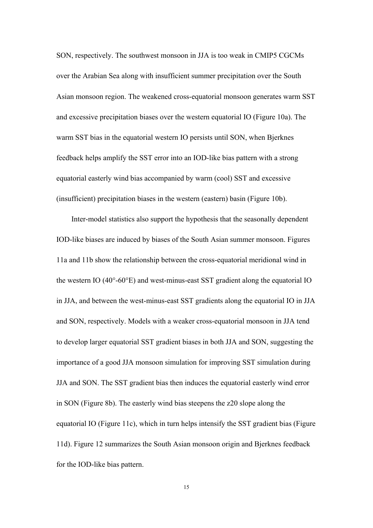SON, respectively. The southwest monsoon in JJA is too weak in CMIP5 CGCMs over the Arabian Sea along with insufficient summer precipitation over the South Asian monsoon region. The weakened cross-equatorial monsoon generates warm SST and excessive precipitation biases over the western equatorial IO (Figure 10a). The warm SST bias in the equatorial western IO persists until SON, when Bjerknes feedback helps amplify the SST error into an IOD-like bias pattern with a strong equatorial easterly wind bias accompanied by warm (cool) SST and excessive (insufficient) precipitation biases in the western (eastern) basin (Figure 10b).

Inter-model statistics also support the hypothesis that the seasonally dependent IOD-like biases are induced by biases of the South Asian summer monsoon. Figures 11a and 11b show the relationship between the cross-equatorial meridional wind in the western IO (40°-60°E) and west-minus-east SST gradient along the equatorial IO in JJA, and between the west-minus-east SST gradients along the equatorial IO in JJA and SON, respectively. Models with a weaker cross-equatorial monsoon in JJA tend to develop larger equatorial SST gradient biases in both JJA and SON, suggesting the importance of a good JJA monsoon simulation for improving SST simulation during JJA and SON. The SST gradient bias then induces the equatorial easterly wind error in SON (Figure 8b). The easterly wind bias steepens the z20 slope along the equatorial IO (Figure 11c), which in turn helps intensify the SST gradient bias (Figure 11d). Figure 12 summarizes the South Asian monsoon origin and Bjerknes feedback for the IOD-like bias pattern.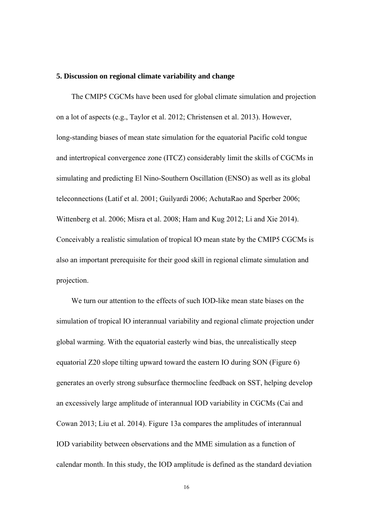#### **5. Discussion on regional climate variability and change**

The CMIP5 CGCMs have been used for global climate simulation and projection on a lot of aspects (e.g., Taylor et al. 2012; Christensen et al. 2013). However, long-standing biases of mean state simulation for the equatorial Pacific cold tongue and intertropical convergence zone (ITCZ) considerably limit the skills of CGCMs in simulating and predicting El Nino-Southern Oscillation (ENSO) as well as its global teleconnections (Latif et al. 2001; Guilyardi 2006; AchutaRao and Sperber 2006; Wittenberg et al. 2006; Misra et al. 2008; Ham and Kug 2012; Li and Xie 2014). Conceivably a realistic simulation of tropical IO mean state by the CMIP5 CGCMs is also an important prerequisite for their good skill in regional climate simulation and projection.

We turn our attention to the effects of such IOD-like mean state biases on the simulation of tropical IO interannual variability and regional climate projection under global warming. With the equatorial easterly wind bias, the unrealistically steep equatorial Z20 slope tilting upward toward the eastern IO during SON (Figure 6) generates an overly strong subsurface thermocline feedback on SST, helping develop an excessively large amplitude of interannual IOD variability in CGCMs (Cai and Cowan 2013; Liu et al. 2014). Figure 13a compares the amplitudes of interannual IOD variability between observations and the MME simulation as a function of calendar month. In this study, the IOD amplitude is defined as the standard deviation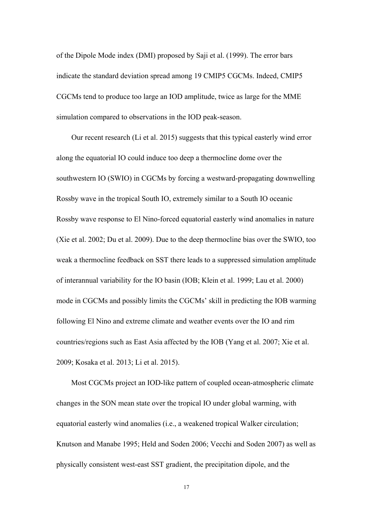of the Dipole Mode index (DMI) proposed by Saji et al. (1999). The error bars indicate the standard deviation spread among 19 CMIP5 CGCMs. Indeed, CMIP5 CGCMs tend to produce too large an IOD amplitude, twice as large for the MME simulation compared to observations in the IOD peak-season.

Our recent research (Li et al. 2015) suggests that this typical easterly wind error along the equatorial IO could induce too deep a thermocline dome over the southwestern IO (SWIO) in CGCMs by forcing a westward-propagating downwelling Rossby wave in the tropical South IO, extremely similar to a South IO oceanic Rossby wave response to El Nino-forced equatorial easterly wind anomalies in nature (Xie et al. 2002; Du et al. 2009). Due to the deep thermocline bias over the SWIO, too weak a thermocline feedback on SST there leads to a suppressed simulation amplitude of interannual variability for the IO basin (IOB; Klein et al. 1999; Lau et al. 2000) mode in CGCMs and possibly limits the CGCMs' skill in predicting the IOB warming following El Nino and extreme climate and weather events over the IO and rim countries/regions such as East Asia affected by the IOB (Yang et al. 2007; Xie et al. 2009; Kosaka et al. 2013; Li et al. 2015).

Most CGCMs project an IOD-like pattern of coupled ocean-atmospheric climate changes in the SON mean state over the tropical IO under global warming, with equatorial easterly wind anomalies (i.e., a weakened tropical Walker circulation; Knutson and Manabe 1995; Held and Soden 2006; Vecchi and Soden 2007) as well as physically consistent west-east SST gradient, the precipitation dipole, and the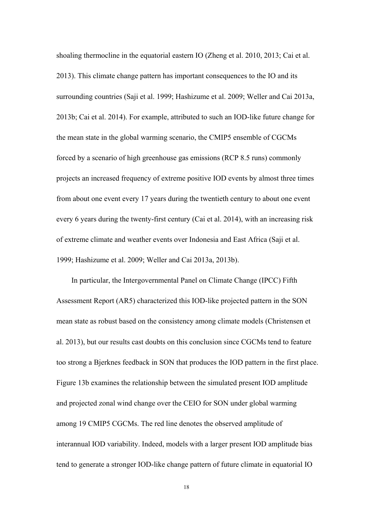shoaling thermocline in the equatorial eastern IO (Zheng et al. 2010, 2013; Cai et al. 2013). This climate change pattern has important consequences to the IO and its surrounding countries (Saji et al. 1999; Hashizume et al. 2009; Weller and Cai 2013a, 2013b; Cai et al. 2014). For example, attributed to such an IOD-like future change for the mean state in the global warming scenario, the CMIP5 ensemble of CGCMs forced by a scenario of high greenhouse gas emissions (RCP 8.5 runs) commonly projects an increased frequency of extreme positive IOD events by almost three times from about one event every 17 years during the twentieth century to about one event every 6 years during the twenty-first century (Cai et al. 2014), with an increasing risk of extreme climate and weather events over Indonesia and East Africa (Saji et al. 1999; Hashizume et al. 2009; Weller and Cai 2013a, 2013b).

In particular, the Intergovernmental Panel on Climate Change (IPCC) Fifth Assessment Report (AR5) characterized this IOD-like projected pattern in the SON mean state as robust based on the consistency among climate models (Christensen et al. 2013), but our results cast doubts on this conclusion since CGCMs tend to feature too strong a Bjerknes feedback in SON that produces the IOD pattern in the first place. Figure 13b examines the relationship between the simulated present IOD amplitude and projected zonal wind change over the CEIO for SON under global warming among 19 CMIP5 CGCMs. The red line denotes the observed amplitude of interannual IOD variability. Indeed, models with a larger present IOD amplitude bias tend to generate a stronger IOD-like change pattern of future climate in equatorial IO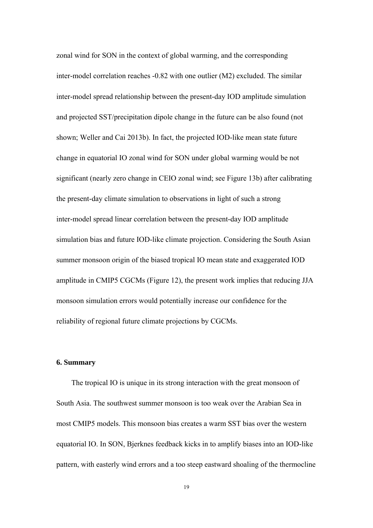zonal wind for SON in the context of global warming, and the corresponding inter-model correlation reaches -0.82 with one outlier (M2) excluded. The similar inter-model spread relationship between the present-day IOD amplitude simulation and projected SST/precipitation dipole change in the future can be also found (not shown; Weller and Cai 2013b). In fact, the projected IOD-like mean state future change in equatorial IO zonal wind for SON under global warming would be not significant (nearly zero change in CEIO zonal wind; see Figure 13b) after calibrating the present-day climate simulation to observations in light of such a strong inter-model spread linear correlation between the present-day IOD amplitude simulation bias and future IOD-like climate projection. Considering the South Asian summer monsoon origin of the biased tropical IO mean state and exaggerated IOD amplitude in CMIP5 CGCMs (Figure 12), the present work implies that reducing JJA monsoon simulation errors would potentially increase our confidence for the reliability of regional future climate projections by CGCMs.

## **6. Summary**

The tropical IO is unique in its strong interaction with the great monsoon of South Asia. The southwest summer monsoon is too weak over the Arabian Sea in most CMIP5 models. This monsoon bias creates a warm SST bias over the western equatorial IO. In SON, Bjerknes feedback kicks in to amplify biases into an IOD-like pattern, with easterly wind errors and a too steep eastward shoaling of the thermocline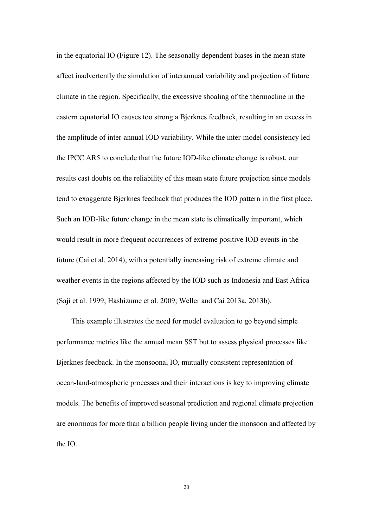in the equatorial IO (Figure 12). The seasonally dependent biases in the mean state affect inadvertently the simulation of interannual variability and projection of future climate in the region. Specifically, the excessive shoaling of the thermocline in the eastern equatorial IO causes too strong a Bjerknes feedback, resulting in an excess in the amplitude of inter-annual IOD variability. While the inter-model consistency led the IPCC AR5 to conclude that the future IOD-like climate change is robust, our results cast doubts on the reliability of this mean state future projection since models tend to exaggerate Bjerknes feedback that produces the IOD pattern in the first place. Such an IOD-like future change in the mean state is climatically important, which would result in more frequent occurrences of extreme positive IOD events in the future (Cai et al. 2014), with a potentially increasing risk of extreme climate and weather events in the regions affected by the IOD such as Indonesia and East Africa (Saji et al. 1999; Hashizume et al. 2009; Weller and Cai 2013a, 2013b).

This example illustrates the need for model evaluation to go beyond simple performance metrics like the annual mean SST but to assess physical processes like Bjerknes feedback. In the monsoonal IO, mutually consistent representation of ocean-land-atmospheric processes and their interactions is key to improving climate models. The benefits of improved seasonal prediction and regional climate projection are enormous for more than a billion people living under the monsoon and affected by the IO.

20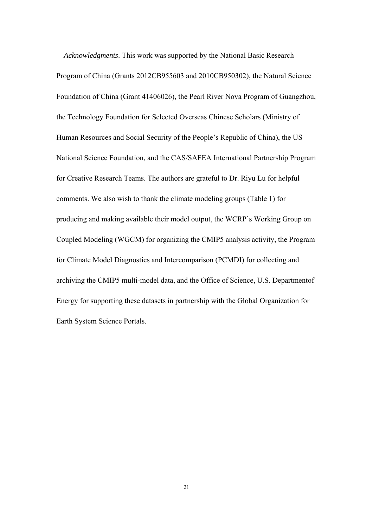*Acknowledgments*. This work was supported by the National Basic Research Program of China (Grants 2012CB955603 and 2010CB950302), the Natural Science Foundation of China (Grant 41406026), the Pearl River Nova Program of Guangzhou, the Technology Foundation for Selected Overseas Chinese Scholars (Ministry of Human Resources and Social Security of the People's Republic of China), the US National Science Foundation, and the CAS/SAFEA International Partnership Program for Creative Research Teams. The authors are grateful to Dr. Riyu Lu for helpful comments. We also wish to thank the climate modeling groups (Table 1) for producing and making available their model output, the WCRP's Working Group on Coupled Modeling (WGCM) for organizing the CMIP5 analysis activity, the Program for Climate Model Diagnostics and Intercomparison (PCMDI) for collecting and archiving the CMIP5 multi-model data, and the Office of Science, U.S. Departmentof Energy for supporting these datasets in partnership with the Global Organization for Earth System Science Portals.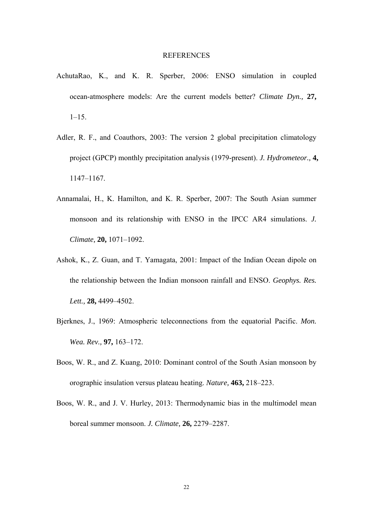#### **REFERENCES**

- AchutaRao, K., and K. R. Sperber, 2006: ENSO simulation in coupled ocean-atmosphere models: Are the current models better? *Climate Dyn.,* **27,**  $1 - 15$ .
- Adler, R. F., and Coauthors, 2003: The version 2 global precipitation climatology project (GPCP) monthly precipitation analysis (1979-present). *J. Hydrometeor.,* **4,** 1147–1167.
- Annamalai, H., K. Hamilton, and K. R. Sperber, 2007: The South Asian summer monsoon and its relationship with ENSO in the IPCC AR4 simulations. *J. Climate,* **20,** 1071–1092.
- Ashok, K., Z. Guan, and T. Yamagata, 2001: Impact of the Indian Ocean dipole on the relationship between the Indian monsoon rainfall and ENSO. *Geophys. Res. Lett.,* **28,** 4499–4502.
- Bjerknes, J., 1969: Atmospheric teleconnections from the equatorial Pacific. *Mon. Wea. Rev.,* **97,** 163–172.
- Boos, W. R., and Z. Kuang, 2010: Dominant control of the South Asian monsoon by orographic insulation versus plateau heating. *Nature,* **463,** 218–223.
- Boos, W. R., and J. V. Hurley, 2013: Thermodynamic bias in the multimodel mean boreal summer monsoon. *J. Climate,* **26,** 2279–2287.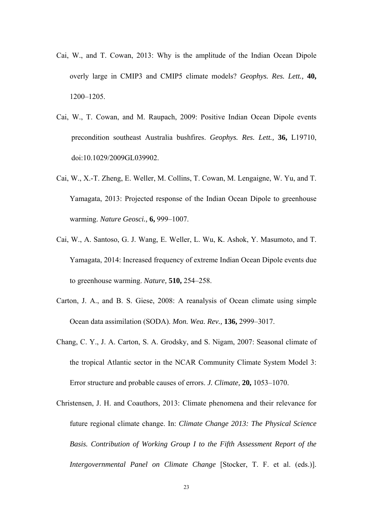- Cai, W., and T. Cowan, 2013: Why is the amplitude of the Indian Ocean Dipole overly large in CMIP3 and CMIP5 climate models? *Geophys. Res. Lett.,* **40,** 1200–1205.
- Cai, W., T. Cowan, and M. Raupach, 2009: Positive Indian Ocean Dipole events precondition southeast Australia bushfires. *Geophys. Res. Lett.,* **36,** L19710, doi:10.1029/2009GL039902.
- Cai, W., X.-T. Zheng, E. Weller, M. Collins, T. Cowan, M. Lengaigne, W. Yu, and T. Yamagata, 2013: Projected response of the Indian Ocean Dipole to greenhouse warming. *Nature Geosci.,* **6,** 999–1007.
- Cai, W., A. Santoso, G. J. Wang, E. Weller, L. Wu, K. Ashok, Y. Masumoto, and T. Yamagata, 2014: Increased frequency of extreme Indian Ocean Dipole events due to greenhouse warming. *Nature,* **510,** 254–258.
- Carton, J. A., and B. S. Giese, 2008: A reanalysis of Ocean climate using simple Ocean data assimilation (SODA). *Mon. Wea. Rev.,* **136,** 2999–3017.
- Chang, C. Y., J. A. Carton, S. A. Grodsky, and S. Nigam, 2007: Seasonal climate of the tropical Atlantic sector in the NCAR Community Climate System Model 3: Error structure and probable causes of errors. *J. Climate,* **20,** 1053–1070.
- Christensen, J. H. and Coauthors, 2013: Climate phenomena and their relevance for future regional climate change. In: *Climate Change 2013: The Physical Science Basis. Contribution of Working Group I to the Fifth Assessment Report of the Intergovernmental Panel on Climate Change* [Stocker, T. F. et al. (eds.)].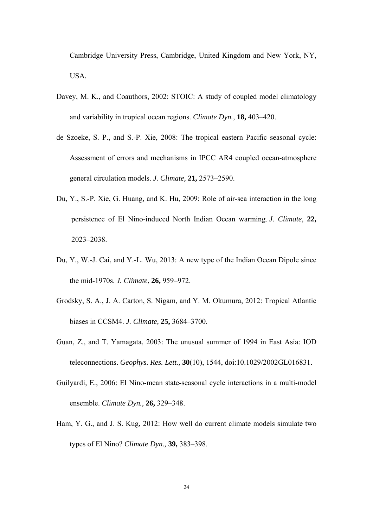Cambridge University Press, Cambridge, United Kingdom and New York, NY, USA.

- Davey, M. K., and Coauthors, 2002: STOIC: A study of coupled model climatology and variability in tropical ocean regions. *Climate Dyn.,* **18,** 403–420.
- de Szoeke, S. P., and S.-P. Xie, 2008: The tropical eastern Pacific seasonal cycle: Assessment of errors and mechanisms in IPCC AR4 coupled ocean-atmosphere general circulation models. *J. Climate,* **21,** 2573–2590.
- Du, Y., S.-P. Xie, G. Huang, and K. Hu, 2009: Role of air-sea interaction in the long persistence of El Nino-induced North Indian Ocean warming. *J. Climate,* **22,** 2023–2038.
- Du, Y., W.-J. Cai, and Y.-L. Wu, 2013: A new type of the Indian Ocean Dipole since the mid-1970s. *J. Climate*, **26,** 959–972.
- Grodsky, S. A., J. A. Carton, S. Nigam, and Y. M. Okumura, 2012: Tropical Atlantic biases in CCSM4. *J. Climate,* **25,** 3684–3700.
- Guan, Z., and T. Yamagata, 2003: The unusual summer of 1994 in East Asia: IOD teleconnections. *Geophys. Res. Lett.,* **30**(10), 1544, doi:10.1029/2002GL016831.
- Guilyardi, E., 2006: El Nino-mean state-seasonal cycle interactions in a multi-model ensemble. *Climate Dyn.,* **26,** 329–348.
- Ham, Y. G., and J. S. Kug, 2012: How well do current climate models simulate two types of El Nino? *Climate Dyn.,* **39,** 383–398.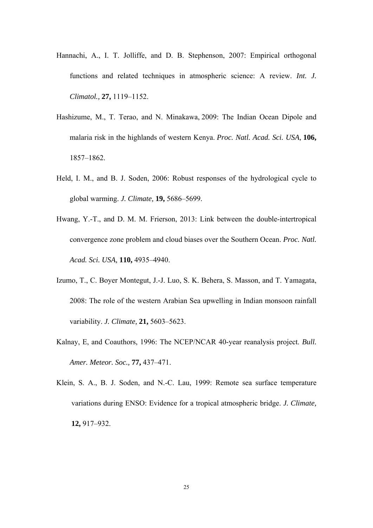- Hannachi, A., I. T. Jolliffe, and D. B. Stephenson, 2007: Empirical orthogonal functions and related techniques in atmospheric science: A review. *Int. J. Climatol.,* **27,** 1119–1152.
- Hashizume, M., T. Terao, and N. Minakawa, 2009: The Indian Ocean Dipole and malaria risk in the highlands of western Kenya. *Proc. Natl. Acad. Sci. USA,* **106,** 1857–1862.
- Held, I. M., and B. J. Soden, 2006: Robust responses of the hydrological cycle to global warming. *J. Climate,* **19,** 5686–5699.
- Hwang, Y.-T., and D. M. M. Frierson, 2013: Link between the double-intertropical convergence zone problem and cloud biases over the Southern Ocean. *Proc. Natl. Acad. Sci. USA,* **110,** 4935–4940.
- Izumo, T., C. Boyer Montegut, J.-J. Luo, S. K. Behera, S. Masson, and T. Yamagata, 2008: The role of the western Arabian Sea upwelling in Indian monsoon rainfall variability. *J. Climate,* **21,** 5603–5623.
- Kalnay, E, and Coauthors, 1996: The NCEP/NCAR 40-year reanalysis project. *Bull. Amer. Meteor. Soc.,* **77,** 437–471.
- Klein, S. A., B. J. Soden, and N.-C. Lau, 1999: Remote sea surface temperature variations during ENSO: Evidence for a tropical atmospheric bridge. *J. Climate,*  **12,** 917–932.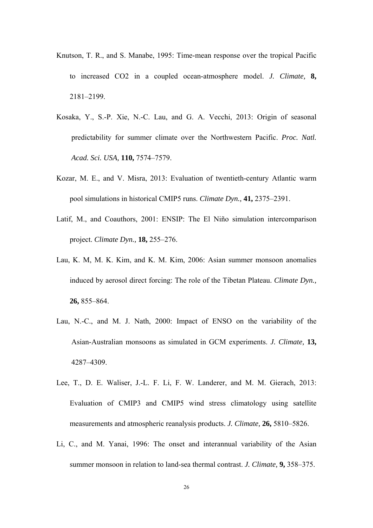- Knutson, T. R., and S. Manabe, 1995: Time-mean response over the tropical Pacific to increased CO2 in a coupled ocean-atmosphere model. *J. Climate,* **8,** 2181–2199.
- Kosaka, Y., S.-P. Xie, N.-C. Lau, and G. A. Vecchi, 2013: Origin of seasonal predictability for summer climate over the Northwestern Pacific. *Proc. Natl. Acad. Sci. USA,* **110,** 7574–7579.
- Kozar, M. E., and V. Misra, 2013: Evaluation of twentieth-century Atlantic warm pool simulations in historical CMIP5 runs. *Climate Dyn.,* **41,** 2375–2391.
- Latif, M., and Coauthors, 2001: ENSIP: The El Niño simulation intercomparison project. *Climate Dyn.,* **18,** 255–276.
- Lau, K. M, M. K. Kim, and K. M. Kim, 2006: Asian summer monsoon anomalies induced by aerosol direct forcing: The role of the Tibetan Plateau. *Climate Dyn.,* **26,** 855–864.
- Lau, N.-C., and M. J. Nath, 2000: Impact of ENSO on the variability of the Asian-Australian monsoons as simulated in GCM experiments. *J. Climate,* **13,**  4287–4309.
- Lee, T., D. E. Waliser, J.-L. F. Li, F. W. Landerer, and M. M. Gierach, 2013: Evaluation of CMIP3 and CMIP5 wind stress climatology using satellite measurements and atmospheric reanalysis products. *J. Climate,* **26,** 5810–5826.
- Li, C., and M. Yanai, 1996: The onset and interannual variability of the Asian summer monsoon in relation to land-sea thermal contrast. *J. Climate,* **9,** 358–375.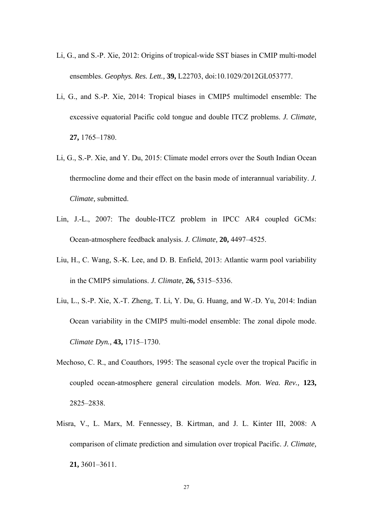- Li, G., and S.-P. Xie, 2012: Origins of tropical-wide SST biases in CMIP multi-model ensembles. *Geophys. Res. Lett.,* **39,** L22703, doi:10.1029/2012GL053777.
- Li, G., and S.-P. Xie, 2014: Tropical biases in CMIP5 multimodel ensemble: The excessive equatorial Pacific cold tongue and double ITCZ problems. *J. Climate,* **27,** 1765–1780.
- Li, G., S.-P. Xie, and Y. Du, 2015: Climate model errors over the South Indian Ocean thermocline dome and their effect on the basin mode of interannual variability. *J. Climate,* submitted.
- Lin, J.-L., 2007: The double-ITCZ problem in IPCC AR4 coupled GCMs: Ocean-atmosphere feedback analysis. *J. Climate,* **20,** 4497–4525.
- Liu, H., C. Wang, S.-K. Lee, and D. B. Enfield, 2013: Atlantic warm pool variability in the CMIP5 simulations. *J. Climate,* **26,** 5315–5336.
- Liu, L., S.-P. Xie, X.-T. Zheng, T. Li, Y. Du, G. Huang, and W.-D. Yu, 2014: Indian Ocean variability in the CMIP5 multi-model ensemble: The zonal dipole mode. *Climate Dyn.,* **43,** 1715–1730.
- Mechoso, C. R., and Coauthors, 1995: The seasonal cycle over the tropical Pacific in coupled ocean-atmosphere general circulation models. *Mon. Wea. Rev.,* **123,** 2825–2838.
- Misra, V., L. Marx, M. Fennessey, B. Kirtman, and J. L. Kinter III, 2008: A comparison of climate prediction and simulation over tropical Pacific. *J. Climate,* **21,** 3601–3611.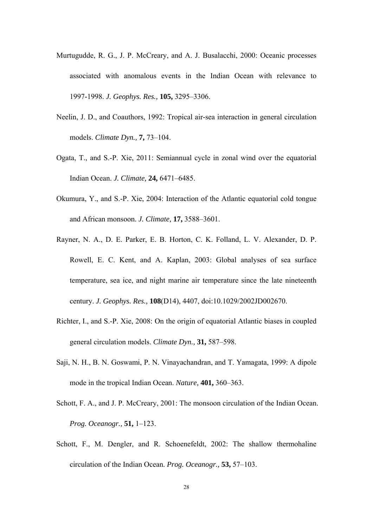- Murtugudde, R. G., J. P. McCreary, and A. J. Busalacchi, 2000: Oceanic processes associated with anomalous events in the Indian Ocean with relevance to 1997-1998. *J. Geophys. Res.,* **105,** 3295–3306.
- Neelin, J. D., and Coauthors, 1992: Tropical air-sea interaction in general circulation models. *Climate Dyn.,* **7,** 73–104.
- Ogata, T., and S.-P. Xie, 2011: Semiannual cycle in zonal wind over the equatorial Indian Ocean. *J. Climate,* **24,** 6471–6485.
- Okumura, Y., and S.-P. Xie, 2004: Interaction of the Atlantic equatorial cold tongue and African monsoon. *J. Climate,* **17,** 3588–3601.
- Rayner, N. A., D. E. Parker, E. B. Horton, C. K. Folland, L. V. Alexander, D. P. Rowell, E. C. Kent, and A. Kaplan, 2003: Global analyses of sea surface temperature, sea ice, and night marine air temperature since the late nineteenth century. *J. Geophys. Res.,* **108**(D14), 4407, doi:10.1029/2002JD002670.
- Richter, I., and S.-P. Xie, 2008: On the origin of equatorial Atlantic biases in coupled general circulation models. *Climate Dyn.,* **31,** 587–598.
- Saji, N. H., B. N. Goswami, P. N. Vinayachandran, and T. Yamagata, 1999: A dipole mode in the tropical Indian Ocean. *Nature,* **401,** 360–363.
- Schott, F. A., and J. P. McCreary, 2001: The monsoon circulation of the Indian Ocean. *Prog. Oceanogr.,* **51,** 1–123.
- Schott, F., M. Dengler, and R. Schoenefeldt, 2002: The shallow thermohaline circulation of the Indian Ocean. *Prog. Oceanogr.,* **53,** 57–103.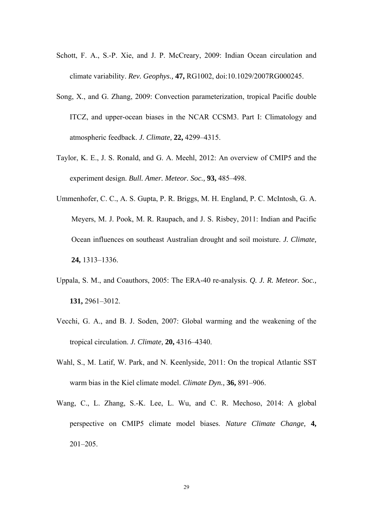- Schott, F. A., S.-P. Xie, and J. P. McCreary, 2009: Indian Ocean circulation and climate variability. *Rev. Geophys.,* **47,** RG1002, doi:10.1029/2007RG000245.
- Song, X., and G. Zhang, 2009: Convection parameterization, tropical Pacific double ITCZ, and upper-ocean biases in the NCAR CCSM3. Part I: Climatology and atmospheric feedback. *J. Climate,* **22,** 4299–4315.
- Taylor, K. E., J. S. Ronald, and G. A. Meehl, 2012: An overview of CMIP5 and the experiment design. *Bull. Amer. Meteor. Soc.,* **93,** 485–498.
- Ummenhofer, C. C., A. S. Gupta, P. R. Briggs, M. H. England, P. C. McIntosh, G. A. Meyers, M. J. Pook, M. R. Raupach, and J. S. Risbey, 2011: Indian and Pacific Ocean influences on southeast Australian drought and soil moisture. *J. Climate,* **24,** 1313–1336.
- Uppala, S. M., and Coauthors, 2005: The ERA-40 re-analysis. *Q. J. R. Meteor. Soc.,* **131,** 2961–3012.
- Vecchi, G. A., and B. J. Soden, 2007: Global warming and the weakening of the tropical circulation. *J. Climate,* **20,** 4316–4340.
- Wahl, S., M. Latif, W. Park, and N. Keenlyside, 2011: On the tropical Atlantic SST warm bias in the Kiel climate model. *Climate Dyn.,* **36,** 891–906.
- Wang, C., L. Zhang, S.-K. Lee, L. Wu, and C. R. Mechoso, 2014: A global perspective on CMIP5 climate model biases. *Nature Climate Change,* **4,**  201–205.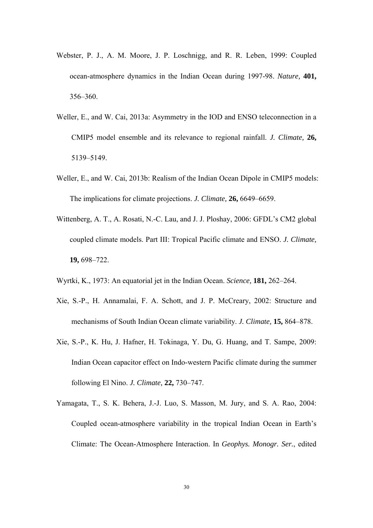- Webster, P. J., A. M. Moore, J. P. Loschnigg, and R. R. Leben, 1999: Coupled ocean-atmosphere dynamics in the Indian Ocean during 1997-98. *Nature,* **401,** 356–360.
- Weller, E., and W. Cai, 2013a: Asymmetry in the IOD and ENSO teleconnection in a CMIP5 model ensemble and its relevance to regional rainfall. *J. Climate,* **26,** 5139–5149.
- Weller, E., and W. Cai, 2013b: Realism of the Indian Ocean Dipole in CMIP5 models: The implications for climate projections. *J. Climate,* **26,** 6649–6659.
- Wittenberg, A. T., A. Rosati, N.-C. Lau, and J. J. Ploshay, 2006: GFDL's CM2 global coupled climate models. Part III: Tropical Pacific climate and ENSO. *J. Climate,* **19,** 698–722.
- Wyrtki, K., 1973: An equatorial jet in the Indian Ocean. *Science,* **181,** 262–264.
- Xie, S.-P., H. Annamalai, F. A. Schott, and J. P. McCreary, 2002: Structure and mechanisms of South Indian Ocean climate variability. *J. Climate,* **15,** 864–878.
- Xie, S.-P., K. Hu, J. Hafner, H. Tokinaga, Y. Du, G. Huang, and T. Sampe, 2009: Indian Ocean capacitor effect on Indo-western Pacific climate during the summer following El Nino. *J. Climate,* **22,** 730–747.
- Yamagata, T., S. K. Behera, J.-J. Luo, S. Masson, M. Jury, and S. A. Rao, 2004: Coupled ocean-atmosphere variability in the tropical Indian Ocean in Earth's Climate: The Ocean-Atmosphere Interaction. In *Geophys. Monogr. Ser.*, edited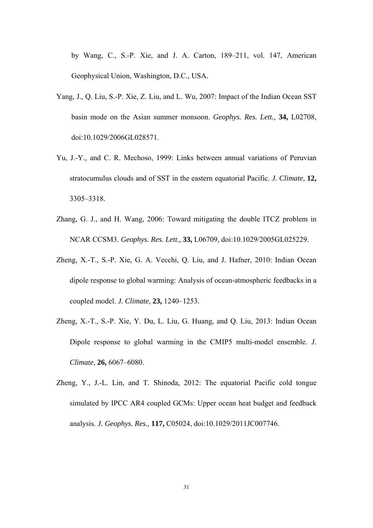by Wang, C., S.-P. Xie, and J. A. Carton, 189–211, vol. 147, American Geophysical Union, Washington, D.C., USA.

- Yang, J., Q. Liu, S.-P. Xie, Z. Liu, and L. Wu, 2007: Impact of the Indian Ocean SST basin mode on the Asian summer monsoon. *Geophys. Res. Lett.,* **34,** L02708, doi:10.1029/2006GL028571.
- Yu, J.-Y., and C. R. Mechoso, 1999: Links between annual variations of Peruvian stratocumulus clouds and of SST in the eastern equatorial Pacific. *J. Climate,* **12,**  3305–3318.
- Zhang, G. J., and H. Wang, 2006: Toward mitigating the double ITCZ problem in NCAR CCSM3. *Geophys. Res. Lett.,* **33,** L06709, doi:10.1029/2005GL025229.
- Zheng, X.-T., S.-P. Xie, G. A. Vecchi, Q. Liu, and J. Hafner, 2010: Indian Ocean dipole response to global warming: Analysis of ocean-atmospheric feedbacks in a coupled model. *J. Climate,* **23,** 1240–1253.
- Zheng, X.-T., S.-P. Xie, Y. Du, L. Liu, G. Huang, and Q. Liu, 2013: Indian Ocean Dipole response to global warming in the CMIP5 multi-model ensemble. *J. Climate*, **26,** 6067–6080.
- Zheng, Y., J.-L. Lin, and T. Shinoda, 2012: The equatorial Pacific cold tongue simulated by IPCC AR4 coupled GCMs: Upper ocean heat budget and feedback analysis. *J. Geophys. Res.,* **117,** C05024, doi:10.1029/2011JC007746.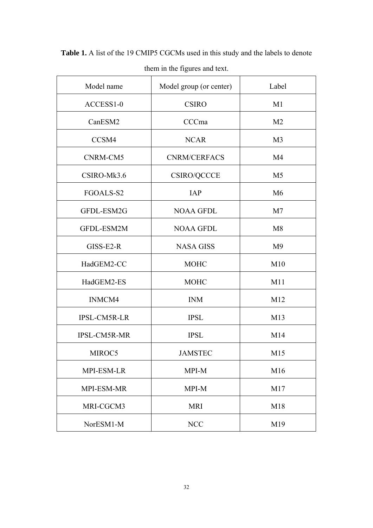| Model name          | Model group (or center) | Label          |
|---------------------|-------------------------|----------------|
| ACCESS1-0           | <b>CSIRO</b>            | M <sub>1</sub> |
| CanESM2             | CCCma                   | M <sub>2</sub> |
| CCSM4               | <b>NCAR</b>             | M <sub>3</sub> |
| CNRM-CM5            | <b>CNRM/CERFACS</b>     | M4             |
| CSIRO-Mk3.6         | CSIRO/QCCCE             | M <sub>5</sub> |
| FGOALS-S2           | IAP                     | M6             |
| GFDL-ESM2G          | <b>NOAA GFDL</b>        | M <sub>7</sub> |
| GFDL-ESM2M          | <b>NOAA GFDL</b>        | M8             |
| GISS-E2-R           | <b>NASA GISS</b>        | M <sub>9</sub> |
| HadGEM2-CC          | <b>MOHC</b>             | M10            |
| HadGEM2-ES          | <b>MOHC</b>             | M11            |
| INMCM4              | <b>INM</b>              | M12            |
| <b>IPSL-CM5R-LR</b> | <b>IPSL</b>             | M13            |
| <b>IPSL-CM5R-MR</b> | <b>IPSL</b>             | M14            |
| MIROC5              | <b>JAMSTEC</b>          | M15            |
| MPI-ESM-LR          | MPI-M                   | M16            |
| MPI-ESM-MR          | MPI-M                   | M17            |
| MRI-CGCM3           | <b>MRI</b>              | M18            |
| NorESM1-M           | <b>NCC</b>              | M19            |

**Table 1.** A list of the 19 CMIP5 CGCMs used in this study and the labels to denote

# them in the figures and text.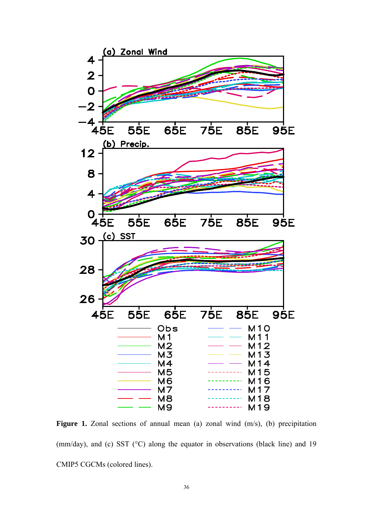

**Figure 1.** Zonal sections of annual mean (a) zonal wind (m/s), (b) precipitation (mm/day), and (c) SST (°C) along the equator in observations (black line) and 19 CMIP5 CGCMs (colored lines).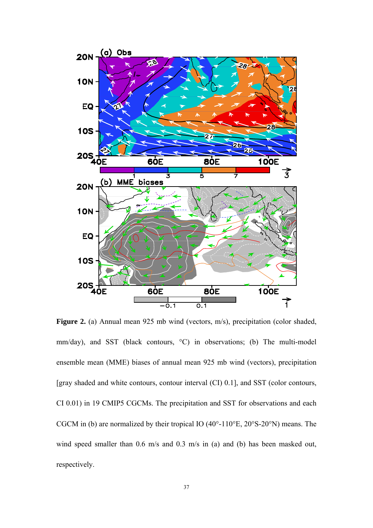

Figure 2. (a) Annual mean 925 mb wind (vectors, m/s), precipitation (color shaded, mm/day), and SST (black contours, °C) in observations; (b) The multi-model ensemble mean (MME) biases of annual mean 925 mb wind (vectors), precipitation [gray shaded and white contours, contour interval (CI) 0.1], and SST (color contours, CI 0.01) in 19 CMIP5 CGCMs. The precipitation and SST for observations and each CGCM in (b) are normalized by their tropical IO  $(40^{\circ} - 110^{\circ}E, 20^{\circ}S - 20^{\circ}N)$  means. The wind speed smaller than 0.6 m/s and 0.3 m/s in (a) and (b) has been masked out, respectively.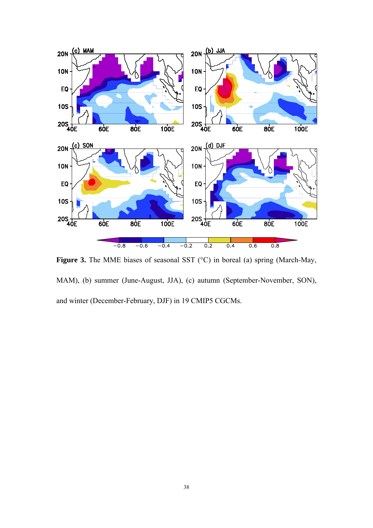

**Figure 3.** The MME biases of seasonal SST (°C) in boreal (a) spring (March-May, MAM), (b) summer (June-August, JJA), (c) autumn (September-November, SON), and winter (December-February, DJF) in 19 CMIP5 CGCMs.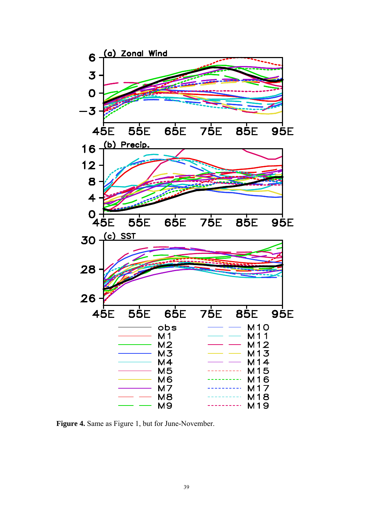

**Figure 4.** Same as Figure 1, but for June-November.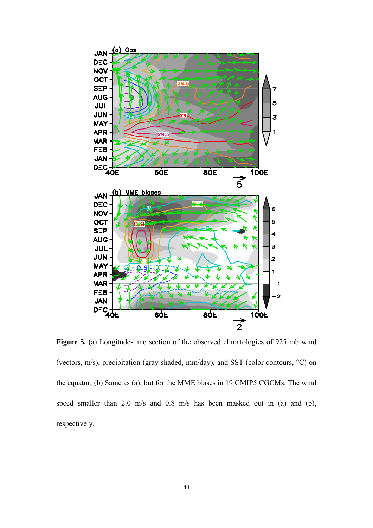

Figure 5. (a) Longitude-time section of the observed climatologies of 925 mb wind (vectors, m/s), precipitation (gray shaded, mm/day), and SST (color contours, °C) on the equator; (b) Same as (a), but for the MME biases in 19 CMIP5 CGCMs. The wind speed smaller than 2.0 m/s and 0.8 m/s has been masked out in (a) and (b), respectively.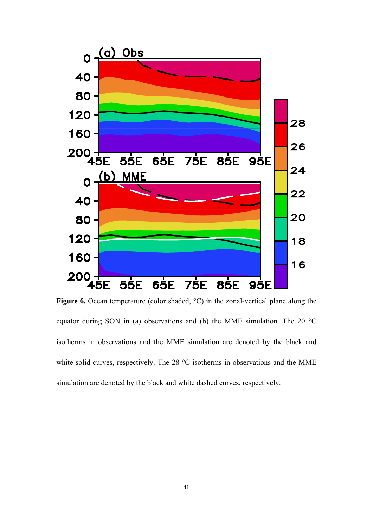

**Figure 6.** Ocean temperature (color shaded,  $^{\circ}$ C) in the zonal-vertical plane along the equator during SON in (a) observations and (b) the MME simulation. The 20 °C isotherms in observations and the MME simulation are denoted by the black and white solid curves, respectively. The 28 °C isotherms in observations and the MME simulation are denoted by the black and white dashed curves, respectively.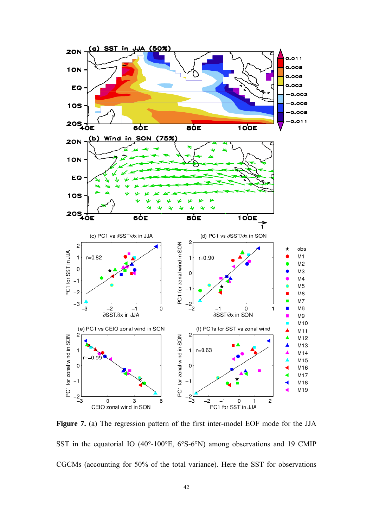

**Figure 7.** (a) The regression pattern of the first inter-model EOF mode for the JJA SST in the equatorial IO (40°-100°E, 6°S-6°N) among observations and 19 CMIP CGCMs (accounting for 50% of the total variance). Here the SST for observations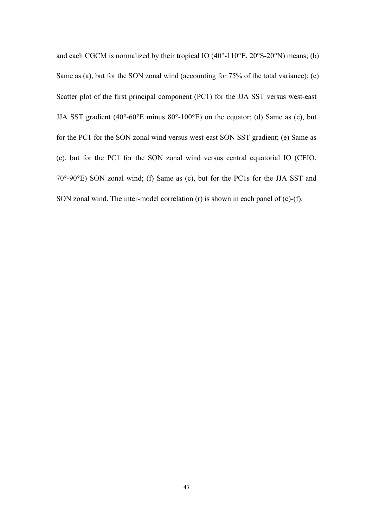and each CGCM is normalized by their tropical IO  $(40^{\circ} - 110^{\circ}E, 20^{\circ}S - 20^{\circ}N)$  means; (b) Same as (a), but for the SON zonal wind (accounting for 75% of the total variance); (c) Scatter plot of the first principal component (PC1) for the JJA SST versus west-east JJA SST gradient  $(40^{\circ} - 60^{\circ}E \text{ minus } 80^{\circ} - 100^{\circ}E)$  on the equator; (d) Same as (c), but for the PC1 for the SON zonal wind versus west-east SON SST gradient; (e) Same as (c), but for the PC1 for the SON zonal wind versus central equatorial IO (CEIO, 70°-90°E) SON zonal wind; (f) Same as (c), but for the PC1s for the JJA SST and SON zonal wind. The inter-model correlation (r) is shown in each panel of (c)-(f).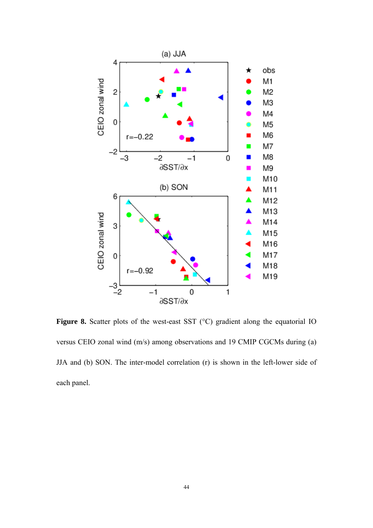

Figure 8. Scatter plots of the west-east SST (°C) gradient along the equatorial IO versus CEIO zonal wind (m/s) among observations and 19 CMIP CGCMs during (a) JJA and (b) SON. The inter-model correlation (r) is shown in the left-lower side of each panel.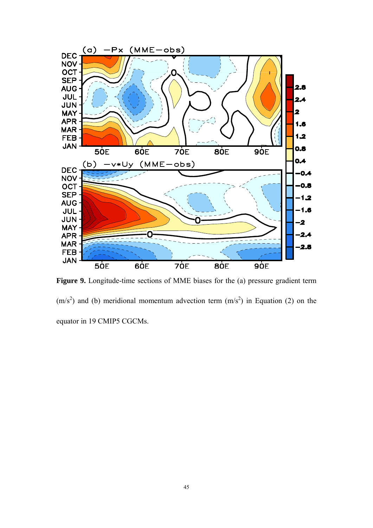

Figure 9. Longitude-time sections of MME biases for the (a) pressure gradient term  $(m/s<sup>2</sup>)$  and (b) meridional momentum advection term  $(m/s<sup>2</sup>)$  in Equation (2) on the equator in 19 CMIP5 CGCMs.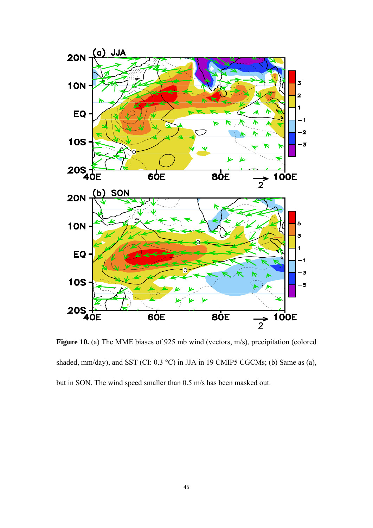

**Figure 10.** (a) The MME biases of 925 mb wind (vectors, m/s), precipitation (colored shaded, mm/day), and SST (CI: 0.3 °C) in JJA in 19 CMIP5 CGCMs; (b) Same as (a), but in SON. The wind speed smaller than 0.5 m/s has been masked out.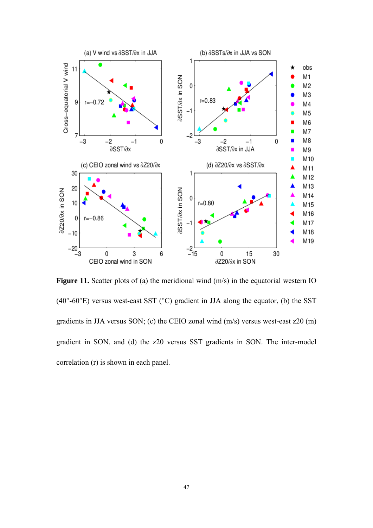![](_page_43_Figure_0.jpeg)

**Figure 11.** Scatter plots of (a) the meridional wind (m/s) in the equatorial western IO (40 $\degree$ -60 $\degree$ E) versus west-east SST ( $\degree$ C) gradient in JJA along the equator, (b) the SST gradients in JJA versus SON; (c) the CEIO zonal wind (m/s) versus west-east z20 (m) gradient in SON, and (d) the z20 versus SST gradients in SON. The inter-model correlation (r) is shown in each panel.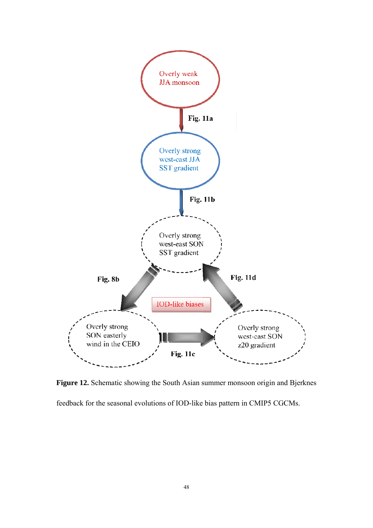![](_page_44_Figure_0.jpeg)

Figure 12. Schematic showing the South Asian summer monsoon origin and Bjerknes

feedback for the seasonal evolutions of IOD-like bias pattern in CMIP5 CGCMs.